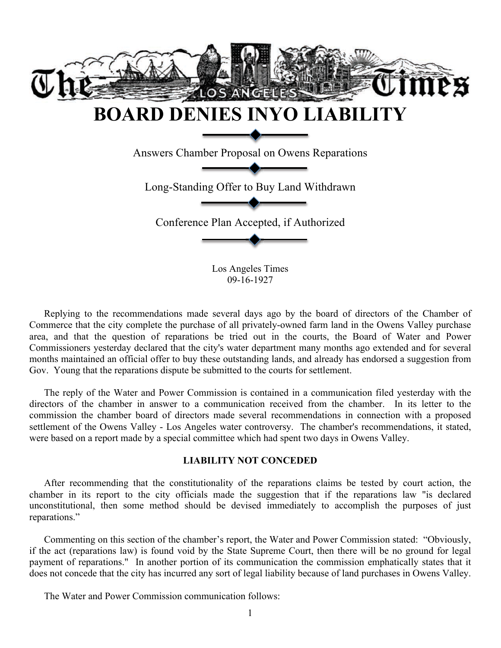

09-16-1927

Replying to the recommendations made several days ago by the board of directors of the Chamber of Commerce that the city complete the purchase of all privately-owned farm land in the Owens Valley purchase area, and that the question of reparations be tried out in the courts, the Board of Water and Power Commissioners yesterday declared that the city's water department many months ago extended and for several months maintained an official offer to buy these outstanding lands, and already has endorsed a suggestion from Gov. Young that the reparations dispute be submitted to the courts for settlement.

The reply of the Water and Power Commission is contained in a communication filed yesterday with the directors of the chamber in answer to a communication received from the chamber. In its letter to the commission the chamber board of directors made several recommendations in connection with a proposed settlement of the Owens Valley - Los Angeles water controversy. The chamber's recommendations, it stated, were based on a report made by a special committee which had spent two days in Owens Valley.

## **LIABILITY NOT CONCEDED**

After recommending that the constitutionality of the reparations claims be tested by court action, the chamber in its report to the city officials made the suggestion that if the reparations law "is declared unconstitutional, then some method should be devised immediately to accomplish the purposes of just reparations."

Commenting on this section of the chamber's report, the Water and Power Commission stated: "Obviously, if the act (reparations law) is found void by the State Supreme Court, then there will be no ground for legal payment of reparations." In another portion of its communication the commission emphatically states that it does not concede that the city has incurred any sort of legal liability because of land purchases in Owens Valley.

The Water and Power Commission communication follows: